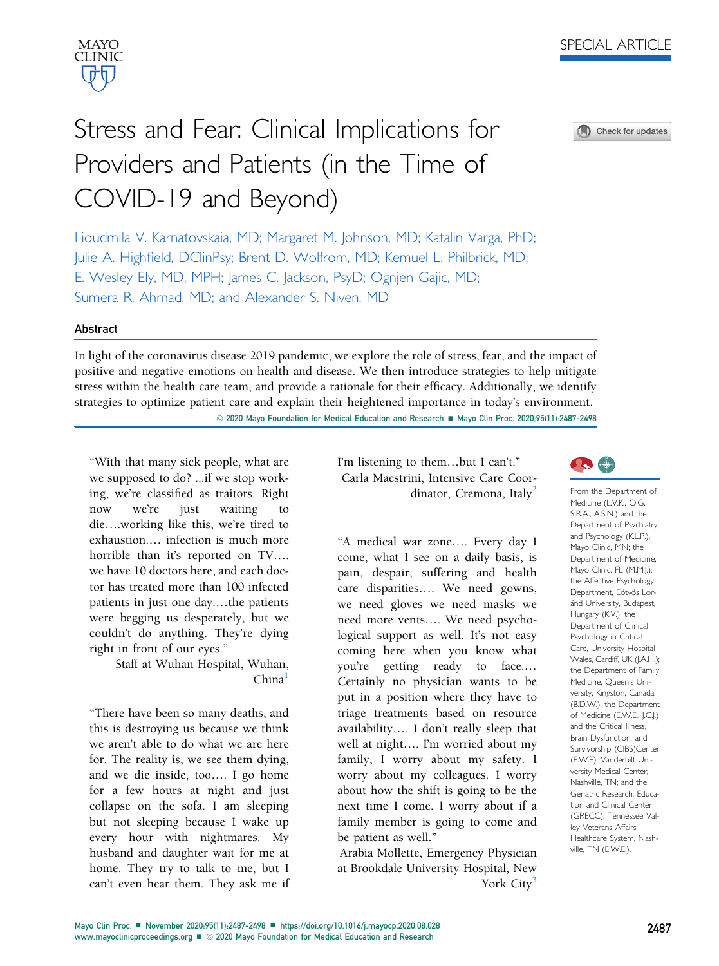

Check for updates

# Stress and Fear: Clinical Implications for Providers and Patients (in the Time of COVID-19 and Beyond)

Lioudmila V. Karnatovskaia, MD; Margaret M. Johnson, MD; Katalin Varga, PhD; Julie A. Highfield, DClinPsy; Brent D. Wolfrom, MD; Kemuel L. Philbrick, MD; E. Wesley Ely, MD, MPH; James C. Jackson, PsyD; Ognjen Gajic, MD; Sumera R. Ahmad, MD; and Alexander S. Niven, MD

## Abstract

In light of the coronavirus disease 2019 pandemic, we explore the role of stress, fear, and the impact of positive and negative emotions on health and disease. We then introduce strategies to help mitigate stress within the health care team, and provide a rationale for their efficacy. Additionally, we identify strategies to optimize patient care and explain their heightened importance in today's environment. © 2020 Mayo Foundation for Medical Education and Research ■ Mayo Clin Proc. 2020;95(11):2487-2498

"With that many sick people, what are we supposed to do? ...if we stop working, we're classified as traitors. Right now we're just waiting to die..working like this, we're tired to exhaustion.. infection is much more horrible than it's reported on TV.... we have 10 doctors here, and each doctor has treated more than 100 infected patients in just one day....the patients were begging us desperately, but we couldn't do anything. They're dying right in front of our eyes."

> Staff at Wuhan Hospital, Wuhan,  $China<sup>1</sup>$  $China<sup>1</sup>$  $China<sup>1</sup>$

"There have been so many deaths, and this is destroying us because we think we aren't able to do what we are here for. The reality is, we see them dying, and we die inside, too.. I go home for a few hours at night and just collapse on the sofa. I am sleeping but not sleeping because I wake up every hour with nightmares. My husband and daughter wait for me at home. They try to talk to me, but I can't even hear them. They ask me if I'm listening to them...but I can't." Carla Maestrini, Intensive Care Coor-dinator, Cremona, Italy<sup>[2](#page-8-1)</sup>

"A medical war zone.... Every day I come, what I see on a daily basis, is pain, despair, suffering and health care disparities.... We need gowns, we need gloves we need masks we need more vents.... We need psychological support as well. It's not easy coming here when you know what you're getting ready to face.. Certainly no physician wants to be put in a position where they have to triage treatments based on resource availability.. I don't really sleep that well at night.... I'm worried about my family, I worry about my safety. I worry about my colleagues. I worry about how the shift is going to be the next time I come. I worry about if a family member is going to come and be patient as well."

Arabia Mollette, Emergency Physician at Brookdale University Hospital, New York City<sup>[3](#page-8-2)</sup>



From the Department of Medicine (L.V.K., O.G., S.R.A., A.S.N.) and the Department of Psychiatry and Psychology (K.L.P.), Mayo Clinic, MN; the Department of Medicine, Mayo Clinic, FL (M.M.J.); the Affective Psychology Department, Eötvös Loránd University, Budapest, Hungary (K.V.); the Department of Clinical Psychology in Critical Care, University Hospital Wales, Cardiff, UK (J.A.H.); the Department of Family Medicine, Queen's University, Kingston, Canada (B.D.W.); the Department of Medicine (E.W.E., J.C.J.) and the Critical Illness, Brain Dysfunction, and Survivorship (CIBS)Center (E.W.E), Vanderbilt University Medical Center, Nashville, TN; and the Geriatric Research, Education and Clinical Center (GRECC), Tennessee Valley Veterans Affairs Healthcare System, Nashville, TN (E.W.E.).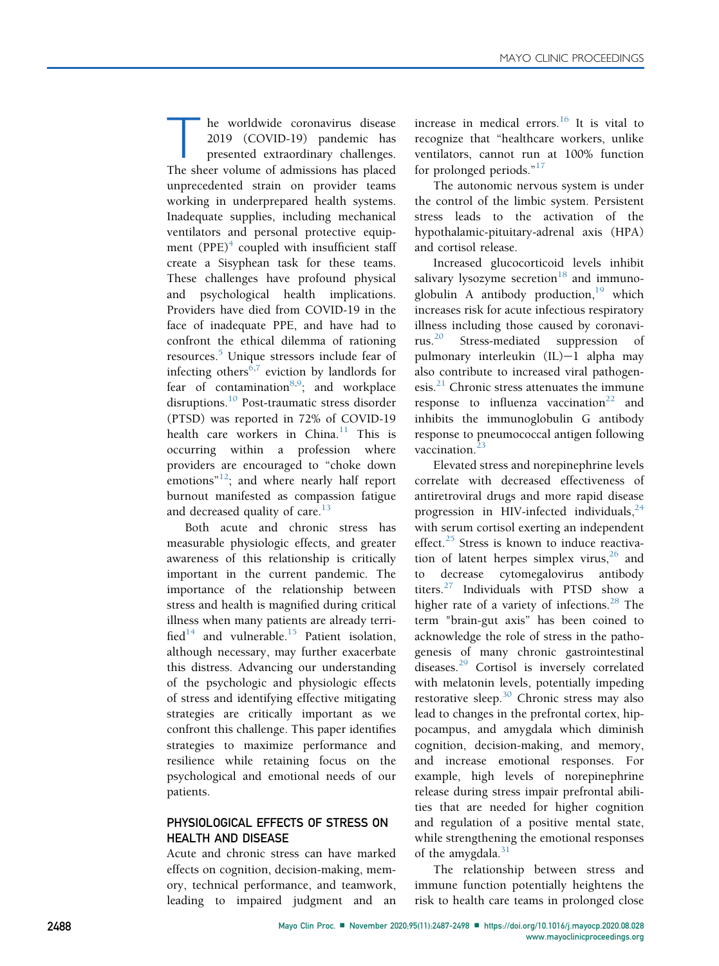he worldwide coronavirus disease<br>2019 (COVID-19) pandemic has<br>presented extraordinary challenges.<br>The sheer volume of admissions has placed 2019 (COVID-19) pandemic has presented extraordinary challenges. The sheer volume of admissions has placed unprecedented strain on provider teams working in underprepared health systems. Inadequate supplies, including mechanical ventilators and personal protective equipment  $(PPE)^4$  coupled with insufficient staff create a Sisyphean task for these teams. These challenges have profound physical and psychological health implications. Providers have died from COVID-19 in the face of inadequate PPE, and have had to confront the ethical dilemma of rationing resources.<sup>[5](#page-8-4)</sup> Unique stressors include fear of infecting others<sup>[6](#page-8-5),[7](#page-8-6)</sup> eviction by landlords for fear of contamination<sup>[8](#page-8-7),[9](#page-8-8)</sup>; and workplace disruptions.[10](#page-8-9) Post-traumatic stress disorder (PTSD) was reported in 72% of COVID-19 health care workers in China.<sup>[11](#page-8-10)</sup> This is occurring within a profession where providers are encouraged to "choke down emotions"<sup>[12](#page-8-11)</sup>; and where nearly half report burnout manifested as compassion fatigue and decreased quality of care. $^{13}$  $^{13}$  $^{13}$ 

Both acute and chronic stress has measurable physiologic effects, and greater awareness of this relationship is critically important in the current pandemic. The importance of the relationship between stress and health is magnified during critical illness when many patients are already terri-fied<sup>[14](#page-8-13)</sup> and vulnerable.<sup>[15](#page-8-14)</sup> Patient isolation, although necessary, may further exacerbate this distress. Advancing our understanding of the psychologic and physiologic effects of stress and identifying effective mitigating strategies are critically important as we confront this challenge. This paper identifies strategies to maximize performance and resilience while retaining focus on the psychological and emotional needs of our patients.

## PHYSIOLOGICAL EFFECTS OF STRESS ON HEALTH AND DISEASE

Acute and chronic stress can have marked effects on cognition, decision-making, memory, technical performance, and teamwork, leading to impaired judgment and an

increase in medical errors. $16$  It is vital to recognize that "healthcare workers, unlike ventilators, cannot run at 100% function for prolonged periods."<sup>[17](#page-8-16)</sup>

The autonomic nervous system is under the control of the limbic system. Persistent stress leads to the activation of the hypothalamic-pituitary-adrenal axis (HPA) and cortisol release.

Increased glucocorticoid levels inhibit salivary lysozyme secretion $^{18}$  $^{18}$  $^{18}$  and immunoglobulin A antibody production, $19$  which increases risk for acute infectious respiratory illness including those caused by coronavirus.[20](#page-8-19) Stress-mediated suppression of pulmonary interleukin  $(IL)-1$  alpha may also contribute to increased viral pathogenesis. $^{21}$  $^{21}$  $^{21}$  Chronic stress attenuates the immune response to influenza vaccination<sup>[22](#page-8-21)</sup> and inhibits the immunoglobulin G antibody response to pneumococcal antigen following vaccination.<sup>[23](#page-9-0)</sup>

Elevated stress and norepinephrine levels correlate with decreased effectiveness of antiretroviral drugs and more rapid disease progression in HIV-infected individuals,  $24$ with serum cortisol exerting an independent effect. $25$  Stress is known to induce reactivation of latent herpes simplex virus,  $26$  and to decrease cytomegalovirus antibody titers. $27$  Individuals with PTSD show a higher rate of a variety of infections.<sup>[28](#page-9-5)</sup> The term "brain-gut axis" has been coined to acknowledge the role of stress in the pathogenesis of many chronic gastrointestinal diseases.<sup>[29](#page-9-6)</sup> Cortisol is inversely correlated with melatonin levels, potentially impeding restorative sleep. $30$  Chronic stress may also lead to changes in the prefrontal cortex, hippocampus, and amygdala which diminish cognition, decision-making, and memory, and increase emotional responses. For example, high levels of norepinephrine release during stress impair prefrontal abilities that are needed for higher cognition and regulation of a positive mental state, while strengthening the emotional responses of the amygdala. $31$ 

The relationship between stress and immune function potentially heightens the risk to health care teams in prolonged close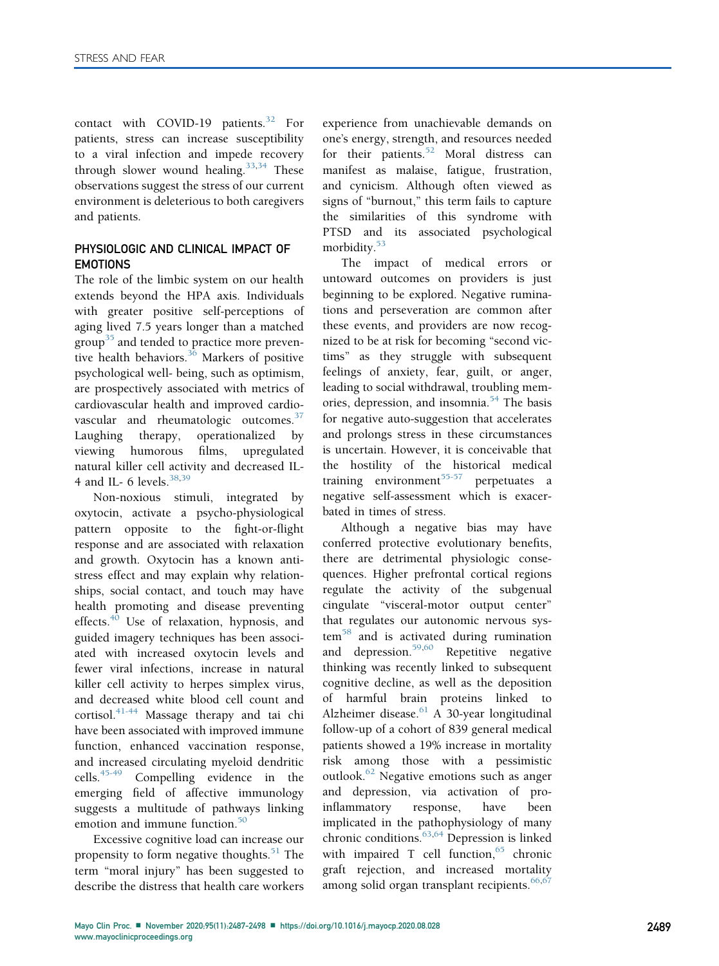contact with COVID-19 patients.<sup>[32](#page-9-9)</sup> For patients, stress can increase susceptibility to a viral infection and impede recovery through slower wound healing.<sup>[33,](#page-9-10)[34](#page-9-11)</sup> These observations suggest the stress of our current environment is deleterious to both caregivers and patients.

## PHYSIOLOGIC AND CLINICAL IMPACT OF EMOTIONS

The role of the limbic system on our health extends beyond the HPA axis. Individuals with greater positive self-perceptions of aging lived 7.5 years longer than a matched group<sup>[35](#page-9-12)</sup> and tended to practice more preventive health behaviors. $36$  Markers of positive psychological well- being, such as optimism, are prospectively associated with metrics of cardiovascular health and improved cardio-vascular and rheumatologic outcomes.<sup>[37](#page-9-14)</sup> Laughing therapy, operationalized by viewing humorous films, upregulated natural killer cell activity and decreased IL-4 and IL- 6 levels. $38,39$  $38,39$ 

Non-noxious stimuli, integrated by oxytocin, activate a psycho-physiological pattern opposite to the fight-or-flight response and are associated with relaxation and growth. Oxytocin has a known antistress effect and may explain why relationships, social contact, and touch may have health promoting and disease preventing effects. $40$  Use of relaxation, hypnosis, and guided imagery techniques has been associated with increased oxytocin levels and fewer viral infections, increase in natural killer cell activity to herpes simplex virus, and decreased white blood cell count and cortisol.<sup>[41-44](#page-9-18)</sup> Massage therapy and tai chi have been associated with improved immune function, enhanced vaccination response, and increased circulating myeloid dendritic cells.[45-49](#page-9-19) Compelling evidence in the emerging field of affective immunology suggests a multitude of pathways linking emotion and immune function.<sup>[50](#page-9-20)</sup>

Excessive cognitive load can increase our propensity to form negative thoughts.<sup>[51](#page-9-21)</sup> The term "moral injury" has been suggested to describe the distress that health care workers

experience from unachievable demands on one's energy, strength, and resources needed for their patients.<sup>[52](#page-9-22)</sup> Moral distress can manifest as malaise, fatigue, frustration, and cynicism. Although often viewed as signs of "burnout," this term fails to capture the similarities of this syndrome with PTSD and its associated psychological morbidity.<sup>[53](#page-9-23)</sup>

The impact of medical errors or untoward outcomes on providers is just beginning to be explored. Negative ruminations and perseveration are common after these events, and providers are now recognized to be at risk for becoming "second victims" as they struggle with subsequent feelings of anxiety, fear, guilt, or anger, leading to social withdrawal, troubling mem-ories, depression, and insomnia.<sup>[54](#page-9-24)</sup> The basis for negative auto-suggestion that accelerates and prolongs stress in these circumstances is uncertain. However, it is conceivable that the hostility of the historical medical training environment<sup>[55-57](#page-9-25)</sup> perpetuates a negative self-assessment which is exacerbated in times of stress.

Although a negative bias may have conferred protective evolutionary benefits, there are detrimental physiologic consequences. Higher prefrontal cortical regions regulate the activity of the subgenual cingulate "visceral-motor output center" that regulates our autonomic nervous sys- $tem<sup>58</sup>$  $tem<sup>58</sup>$  $tem<sup>58</sup>$  and is activated during rumination and depression.<sup>[59,](#page-9-27)[60](#page-9-28)</sup> Repetitive negative thinking was recently linked to subsequent cognitive decline, as well as the deposition of harmful brain proteins linked to Alzheimer disease. $61$  A 30-year longitudinal follow-up of a cohort of 839 general medical patients showed a 19% increase in mortality risk among those with a pessimistic outlook.<sup>[62](#page-9-30)</sup> Negative emotions such as anger and depression, via activation of proinflammatory response, have been implicated in the pathophysiology of many chronic conditions.<sup>[63,](#page-9-31)[64](#page-9-32)</sup> Depression is linked with impaired T cell function,  $65$  chronic graft rejection, and increased mortality among solid organ transplant recipients.<sup>[66,](#page-10-0)[67](#page-10-1)</sup>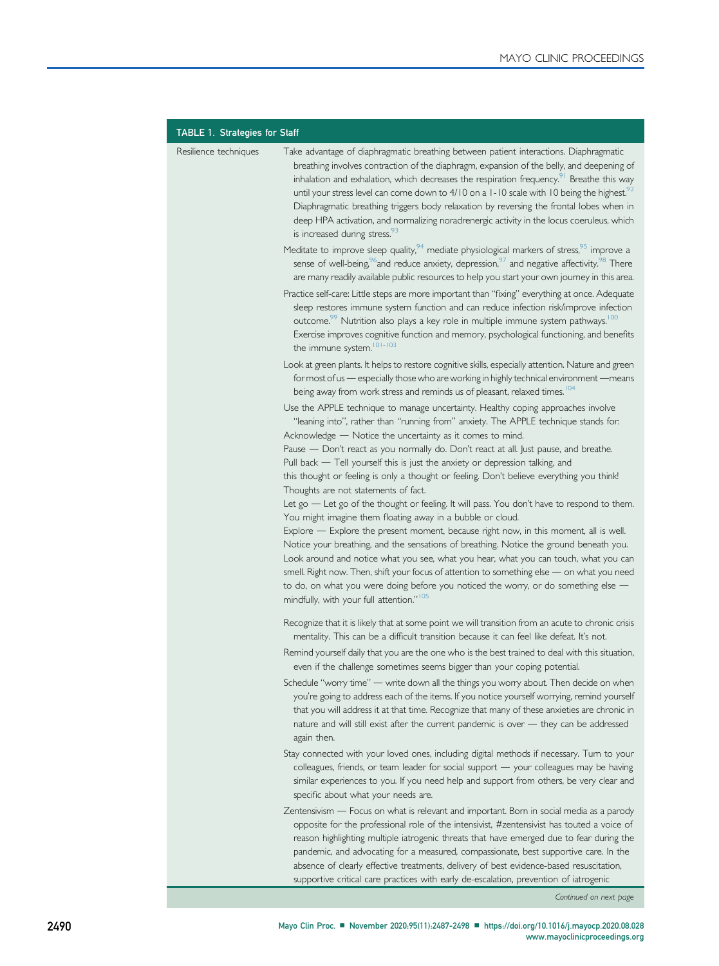<span id="page-3-0"></span>

| <b>TABLE 1. Strategies for Staff</b> |                                                                                                                                                                                                                                                                                                                                                                                                                                                                                                                                                                                                                                                                                                                                                                                                                                                                                                                                                                                                                                                                                                                                                                                                                                                                                                                                                                                                                                                                                                                                                                                                                                                                                                                                                                                                                                                                                                                                                                                                           |
|--------------------------------------|-----------------------------------------------------------------------------------------------------------------------------------------------------------------------------------------------------------------------------------------------------------------------------------------------------------------------------------------------------------------------------------------------------------------------------------------------------------------------------------------------------------------------------------------------------------------------------------------------------------------------------------------------------------------------------------------------------------------------------------------------------------------------------------------------------------------------------------------------------------------------------------------------------------------------------------------------------------------------------------------------------------------------------------------------------------------------------------------------------------------------------------------------------------------------------------------------------------------------------------------------------------------------------------------------------------------------------------------------------------------------------------------------------------------------------------------------------------------------------------------------------------------------------------------------------------------------------------------------------------------------------------------------------------------------------------------------------------------------------------------------------------------------------------------------------------------------------------------------------------------------------------------------------------------------------------------------------------------------------------------------------------|
| Resilience techniques                | Take advantage of diaphragmatic breathing between patient interactions. Diaphragmatic<br>breathing involves contraction of the diaphragm, expansion of the belly, and deepening of<br>inhalation and exhalation, which decreases the respiration frequency. <sup>91</sup> Breathe this way<br>until your stress level can come down to $4/10$ on a 1-10 scale with 10 being the highest. <sup>92</sup><br>Diaphragmatic breathing triggers body relaxation by reversing the frontal lobes when in<br>deep HPA activation, and normalizing noradrenergic activity in the locus coeruleus, which<br>is increased during stress. <sup>93</sup>                                                                                                                                                                                                                                                                                                                                                                                                                                                                                                                                                                                                                                                                                                                                                                                                                                                                                                                                                                                                                                                                                                                                                                                                                                                                                                                                                               |
|                                      | Meditate to improve sleep quality, <sup>94</sup> mediate physiological markers of stress, <sup>95</sup> improve a<br>sense of well-being, <sup>96</sup> and reduce anxiety, depression, <sup>97</sup> and negative affectivity. <sup>98</sup> There<br>are many readily available public resources to help you start your own journey in this area.                                                                                                                                                                                                                                                                                                                                                                                                                                                                                                                                                                                                                                                                                                                                                                                                                                                                                                                                                                                                                                                                                                                                                                                                                                                                                                                                                                                                                                                                                                                                                                                                                                                       |
|                                      | Practice self-care: Little steps are more important than "fixing" everything at once. Adequate<br>sleep restores immune system function and can reduce infection risk/improve infection<br>outcome. <sup>99</sup> Nutrition also plays a key role in multiple immune system pathways. <sup>100</sup><br>Exercise improves cognitive function and memory, psychological functioning, and benefits<br>the immune system. <sup>101-103</sup>                                                                                                                                                                                                                                                                                                                                                                                                                                                                                                                                                                                                                                                                                                                                                                                                                                                                                                                                                                                                                                                                                                                                                                                                                                                                                                                                                                                                                                                                                                                                                                 |
|                                      | Look at green plants. It helps to restore cognitive skills, especially attention. Nature and green<br>for most of us - especially those who are working in highly technical environment - means<br>being away from work stress and reminds us of pleasant, relaxed times. <sup>104</sup>                                                                                                                                                                                                                                                                                                                                                                                                                                                                                                                                                                                                                                                                                                                                                                                                                                                                                                                                                                                                                                                                                                                                                                                                                                                                                                                                                                                                                                                                                                                                                                                                                                                                                                                  |
|                                      | Use the APPLE technique to manage uncertainty. Healthy coping approaches involve<br>"leaning into", rather than "running from" anxiety. The APPLE technique stands for:<br>Acknowledge - Notice the uncertainty as it comes to mind.<br>Pause - Don't react as you normally do. Don't react at all. Just pause, and breathe.<br>Pull back - Tell yourself this is just the anxiety or depression talking, and<br>this thought or feeling is only a thought or feeling. Don't believe everything you think!<br>Thoughts are not statements of fact.<br>Let go - Let go of the thought or feeling. It will pass. You don't have to respond to them.<br>You might imagine them floating away in a bubble or cloud.<br>Explore - Explore the present moment, because right now, in this moment, all is well.<br>Notice your breathing, and the sensations of breathing. Notice the ground beneath you.<br>Look around and notice what you see, what you hear, what you can touch, what you can<br>smell. Right now. Then, shift your focus of attention to something else - on what you need<br>to do, on what you were doing before you noticed the worry, or do something else -<br>mindfully, with your full attention." <sup>105</sup><br>Recognize that it is likely that at some point we will transition from an acute to chronic crisis<br>mentality. This can be a difficult transition because it can feel like defeat. It's not.<br>Remind yourself daily that you are the one who is the best trained to deal with this situation,<br>even if the challenge sometimes seems bigger than your coping potential.<br>Schedule "worry time" - write down all the things you worry about. Then decide on when<br>you're going to address each of the items. If you notice yourself worrying, remind yourself<br>that you will address it at that time. Recognize that many of these anxieties are chronic in<br>nature and will still exist after the current pandemic is over - they can be addressed |
|                                      | again then.<br>Stay connected with your loved ones, including digital methods if necessary. Turn to your<br>colleagues, friends, or team leader for social support - your colleagues may be having<br>similar experiences to you. If you need help and support from others, be very clear and<br>specific about what your needs are.                                                                                                                                                                                                                                                                                                                                                                                                                                                                                                                                                                                                                                                                                                                                                                                                                                                                                                                                                                                                                                                                                                                                                                                                                                                                                                                                                                                                                                                                                                                                                                                                                                                                      |
|                                      | Zentensivism — Focus on what is relevant and important. Born in social media as a parody<br>opposite for the professional role of the intensivist, #zentensivist has touted a voice of<br>reason highlighting multiple iatrogenic threats that have emerged due to fear during the<br>pandemic, and advocating for a measured, compassionate, best supportive care. In the<br>absence of clearly effective treatments, delivery of best evidence-based resuscitation,<br>supportive critical care practices with early de-escalation, prevention of iatrogenic                                                                                                                                                                                                                                                                                                                                                                                                                                                                                                                                                                                                                                                                                                                                                                                                                                                                                                                                                                                                                                                                                                                                                                                                                                                                                                                                                                                                                                            |

Continued on next page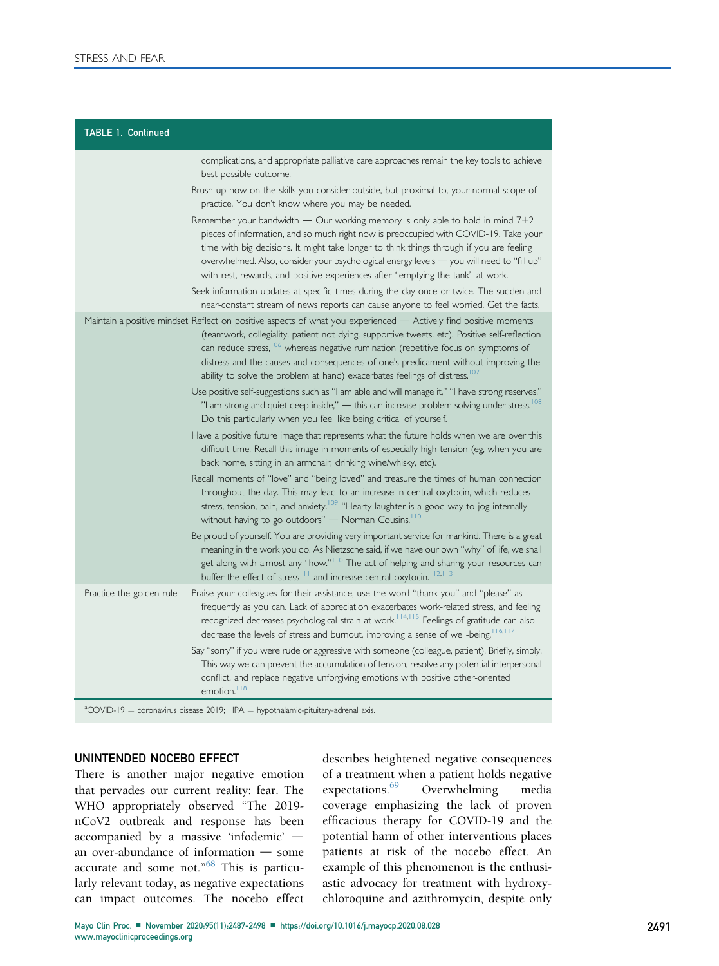| <b>TABLE 1. Continued</b> |                                                                                                                                                                                                                                                                                                                                                                                                                                                                                                      |  |
|---------------------------|------------------------------------------------------------------------------------------------------------------------------------------------------------------------------------------------------------------------------------------------------------------------------------------------------------------------------------------------------------------------------------------------------------------------------------------------------------------------------------------------------|--|
|                           | complications, and appropriate palliative care approaches remain the key tools to achieve<br>best possible outcome.                                                                                                                                                                                                                                                                                                                                                                                  |  |
|                           | Brush up now on the skills you consider outside, but proximal to, your normal scope of<br>practice. You don't know where you may be needed.                                                                                                                                                                                                                                                                                                                                                          |  |
|                           | Remember your bandwidth $-$ Our working memory is only able to hold in mind $7\pm2$<br>pieces of information, and so much right now is preoccupied with COVID-19. Take your<br>time with big decisions. It might take longer to think things through if you are feeling<br>overwhelmed. Also, consider your psychological energy levels — you will need to "fill up"<br>with rest, rewards, and positive experiences after "emptying the tank" at work.                                              |  |
|                           | Seek information updates at specific times during the day once or twice. The sudden and<br>near-constant stream of news reports can cause anyone to feel worried. Get the facts.                                                                                                                                                                                                                                                                                                                     |  |
|                           | Maintain a positive mindset Reflect on positive aspects of what you experienced — Actively find positive moments<br>(teamwork, collegiality, patient not dying, supportive tweets, etc). Positive self-reflection<br>can reduce stress, <sup>106</sup> whereas negative rumination (repetitive focus on symptoms of<br>distress and the causes and consequences of one's predicament without improving the<br>ability to solve the problem at hand) exacerbates feelings of distress. <sup>107</sup> |  |
|                           | Use positive self-suggestions such as "I am able and will manage it," "I have strong reserves,"<br>"I am strong and quiet deep inside," $-$ this can increase problem solving under stress. <sup>108</sup><br>Do this particularly when you feel like being critical of yourself.                                                                                                                                                                                                                    |  |
|                           | Have a positive future image that represents what the future holds when we are over this<br>difficult time. Recall this image in moments of especially high tension (eg, when you are<br>back home, sitting in an armchair, drinking wine/whisky, etc).                                                                                                                                                                                                                                              |  |
|                           | Recall moments of "love" and "being loved" and treasure the times of human connection<br>throughout the day. This may lead to an increase in central oxytocin, which reduces<br>stress, tension, pain, and anxiety. <sup>109</sup> "Hearty laughter is a good way to jog internally<br>without having to go outdoors" - Norman Cousins. <sup>110</sup>                                                                                                                                               |  |
|                           | Be proud of yourself. You are providing very important service for mankind. There is a great<br>meaning in the work you do. As Nietzsche said, if we have our own "why" of life, we shall<br>get along with almost any "how." <sup>110</sup> The act of helping and sharing your resources can<br>buffer the effect of stress <sup>111</sup> and increase central oxytocin. <sup>112,113</sup>                                                                                                       |  |
| Practice the golden rule  | Praise your colleagues for their assistance, use the word "thank you" and "please" as<br>frequently as you can. Lack of appreciation exacerbates work-related stress, and feeling<br>recognized decreases psychological strain at work. <sup>114,115</sup> Feelings of gratitude can also<br>decrease the levels of stress and burnout, improving a sense of well-being. 16,117                                                                                                                      |  |
|                           | Say "sorry" if you were rude or aggressive with someone (colleague, patient). Briefly, simply.<br>This way we can prevent the accumulation of tension, resolve any potential interpersonal<br>conflict, and replace negative unforgiving emotions with positive other-oriented<br>emotion. <sup>18</sup>                                                                                                                                                                                             |  |
|                           | <sup>a</sup> COVID-19 = coronavirus disease 2019; HPA = hypothalamic-pituitary-adrenal axis.                                                                                                                                                                                                                                                                                                                                                                                                         |  |

#### UNINTENDED NOCEBO EFFECT

There is another major negative emotion that pervades our current reality: fear. The WHO appropriately observed "The 2019 nCoV2 outbreak and response has been accompanied by a massive 'infodemic'  $$ an over-abundance of information  $-$  some accurate and some not."<sup>[68](#page-10-14)</sup> This is particularly relevant today, as negative expectations can impact outcomes. The nocebo effect

describes heightened negative consequences of a treatment when a patient holds negative expectations.<sup>69</sup> Overwhelming media coverage emphasizing the lack of proven efficacious therapy for COVID-19 and the potential harm of other interventions places patients at risk of the nocebo effect. An example of this phenomenon is the enthusiastic advocacy for treatment with hydroxychloroquine and azithromycin, despite only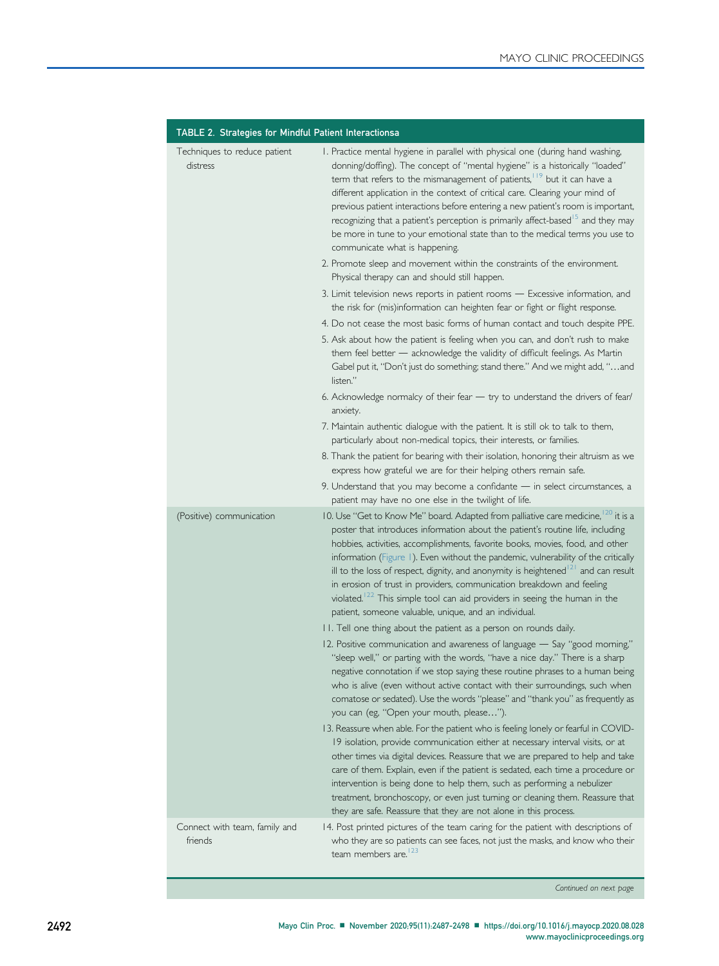<span id="page-5-0"></span>

| TABLE 2. Strategies for Mindful Patient Interactionsa |                                                                                                                                                                                                                                                                                                                                                                                                                                                                                                                                                                                                                                                                                                                                                                                                                                                                                                                                                                                                                                                                                                                                                                                                                                                                                                                                                                                                                                                                                                                                                                                                                                                                                                                                                                                                                                                       |  |
|-------------------------------------------------------|-------------------------------------------------------------------------------------------------------------------------------------------------------------------------------------------------------------------------------------------------------------------------------------------------------------------------------------------------------------------------------------------------------------------------------------------------------------------------------------------------------------------------------------------------------------------------------------------------------------------------------------------------------------------------------------------------------------------------------------------------------------------------------------------------------------------------------------------------------------------------------------------------------------------------------------------------------------------------------------------------------------------------------------------------------------------------------------------------------------------------------------------------------------------------------------------------------------------------------------------------------------------------------------------------------------------------------------------------------------------------------------------------------------------------------------------------------------------------------------------------------------------------------------------------------------------------------------------------------------------------------------------------------------------------------------------------------------------------------------------------------------------------------------------------------------------------------------------------------|--|
| Techniques to reduce patient<br>distress              | I. Practice mental hygiene in parallel with physical one (during hand washing,<br>donning/doffing). The concept of "mental hygiene" is a historically "loaded"<br>term that refers to the mismanagement of patients, <sup>119</sup> but it can have a<br>different application in the context of critical care. Clearing your mind of<br>previous patient interactions before entering a new patient's room is important,<br>recognizing that a patient's perception is primarily affect-based <sup>15</sup> and they may<br>be more in tune to your emotional state than to the medical terms you use to<br>communicate what is happening.<br>2. Promote sleep and movement within the constraints of the environment.<br>Physical therapy can and should still happen.<br>3. Limit television news reports in patient rooms - Excessive information, and<br>the risk for (mis)information can heighten fear or fight or flight response.<br>4. Do not cease the most basic forms of human contact and touch despite PPE.<br>5. Ask about how the patient is feeling when you can, and don't rush to make<br>them feel better - acknowledge the validity of difficult feelings. As Martin<br>Gabel put it, "Don't just do something; stand there." And we might add, "and<br>listen."<br>6. Acknowledge normalcy of their fear - try to understand the drivers of fear/<br>anxiety.<br>7. Maintain authentic dialogue with the patient. It is still ok to talk to them,<br>particularly about non-medical topics, their interests, or families.<br>8. Thank the patient for bearing with their isolation, honoring their altruism as we<br>express how grateful we are for their helping others remain safe.<br>9. Understand that you may become a confidante - in select circumstances, a<br>patient may have no one else in the twilight of life. |  |
| (Positive) communication                              | 10. Use "Get to Know Me" board. Adapted from palliative care medicine, 20 it is a<br>poster that introduces information about the patient's routine life, including<br>hobbies, activities, accomplishments, favorite books, movies, food, and other<br>information (Figure 1). Even without the pandemic, vulnerability of the critically<br>ill to the loss of respect, dignity, and anonymity is heightened <sup>[2]</sup> and can result<br>in erosion of trust in providers, communication breakdown and feeling<br>violated. <sup>122</sup> This simple tool can aid providers in seeing the human in the<br>patient, someone valuable, unique, and an individual.<br>II. Tell one thing about the patient as a person on rounds daily.<br>12. Positive communication and awareness of language - Say "good morning,"<br>"sleep well," or parting with the words, "have a nice day." There is a sharp<br>negative connotation if we stop saying these routine phrases to a human being<br>who is alive (even without active contact with their surroundings, such when<br>comatose or sedated). Use the words "please" and "thank you" as frequently as<br>you can (eg, "Open your mouth, please").<br>13. Reassure when able. For the patient who is feeling lonely or fearful in COVID-<br>19 isolation, provide communication either at necessary interval visits, or at<br>other times via digital devices. Reassure that we are prepared to help and take<br>care of them. Explain, even if the patient is sedated, each time a procedure or<br>intervention is being done to help them, such as performing a nebulizer<br>treatment, bronchoscopy, or even just turning or cleaning them. Reassure that<br>they are safe. Reassure that they are not alone in this process.                                                               |  |
| Connect with team, family and<br>friends              | 14. Post printed pictures of the team caring for the patient with descriptions of<br>who they are so patients can see faces, not just the masks, and know who their<br>team members are. <sup>123</sup>                                                                                                                                                                                                                                                                                                                                                                                                                                                                                                                                                                                                                                                                                                                                                                                                                                                                                                                                                                                                                                                                                                                                                                                                                                                                                                                                                                                                                                                                                                                                                                                                                                               |  |

Continued on next page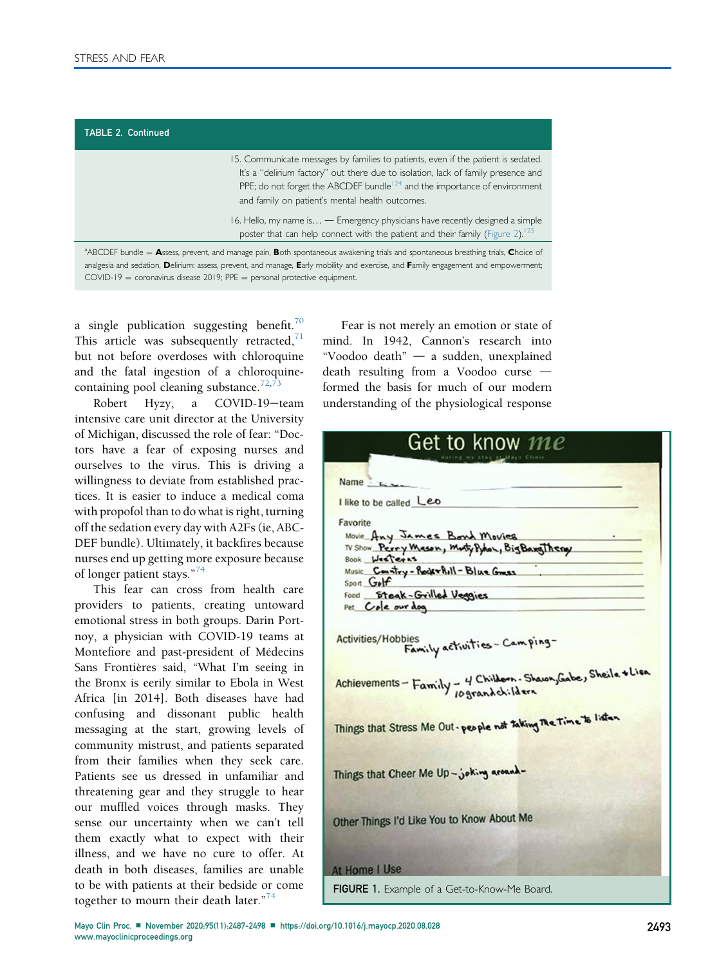15. Communicate messages by families to patients, even if the patient is sedated. It's a "delirium factory" out there due to isolation, lack of family presence and PPE; do not forget the ABCDEF bundle<sup>124</sup> and the importance of environment and family on patient's mental health outcomes.

16. Hello, my name is... - Emergency physicians have recently designed a simple poster that can help connect with the patient and their family ([Figure 2\)](#page-7-0).<sup>[125](#page-11-20)</sup>

 $^a$ ABCDEF bundle = Assess, prevent, and manage pain, Both spontaneous awakening trials and spontaneous breathing trials, Choice of analgesia and sedation, Delirium: assess, prevent, and manage, Early mobility and exercise, and Family engagement and empowerment;  $COVID-19 =$  coronavirus disease 2019; PPE = personal protective equipment.

a single publication suggesting benefit. $70$ This article was subsequently retracted, $<sup>71</sup>$  $<sup>71</sup>$  $<sup>71</sup>$ </sup> but not before overdoses with chloroquine and the fatal ingestion of a chloroquine-containing pool cleaning substance.<sup>[72](#page-10-18),[73](#page-10-19)</sup>

Robert Hyzy, a COVID-19-team intensive care unit director at the University of Michigan, discussed the role of fear: "Doctors have a fear of exposing nurses and ourselves to the virus. This is driving a willingness to deviate from established practices. It is easier to induce a medical coma with propofol than to do what is right, turning off the sedation every day with A2Fs (ie, ABC-DEF bundle). Ultimately, it backfires because nurses end up getting more exposure because of longer patient stays."<sup>[74](#page-10-20)</sup>

This fear can cross from health care providers to patients, creating untoward emotional stress in both groups. Darin Portnoy, a physician with COVID-19 teams at Montefiore and past-president of Médecins Sans Frontières said, "What I'm seeing in the Bronx is eerily similar to Ebola in West Africa [in 2014]. Both diseases have had confusing and dissonant public health messaging at the start, growing levels of community mistrust, and patients separated from their families when they seek care. Patients see us dressed in unfamiliar and threatening gear and they struggle to hear our muffled voices through masks. They sense our uncertainty when we can't tell them exactly what to expect with their illness, and we have no cure to offer. At death in both diseases, families are unable to be with patients at their bedside or come together to mourn their death later."<sup>[74](#page-10-20)</sup>

Fear is not merely an emotion or state of mind. In 1942, Cannon's research into "Voodoo death"  $-$  a sudden, unexplained death resulting from a Voodoo curse  $$ formed the basis for much of our modern understanding of the physiological response

<span id="page-6-0"></span>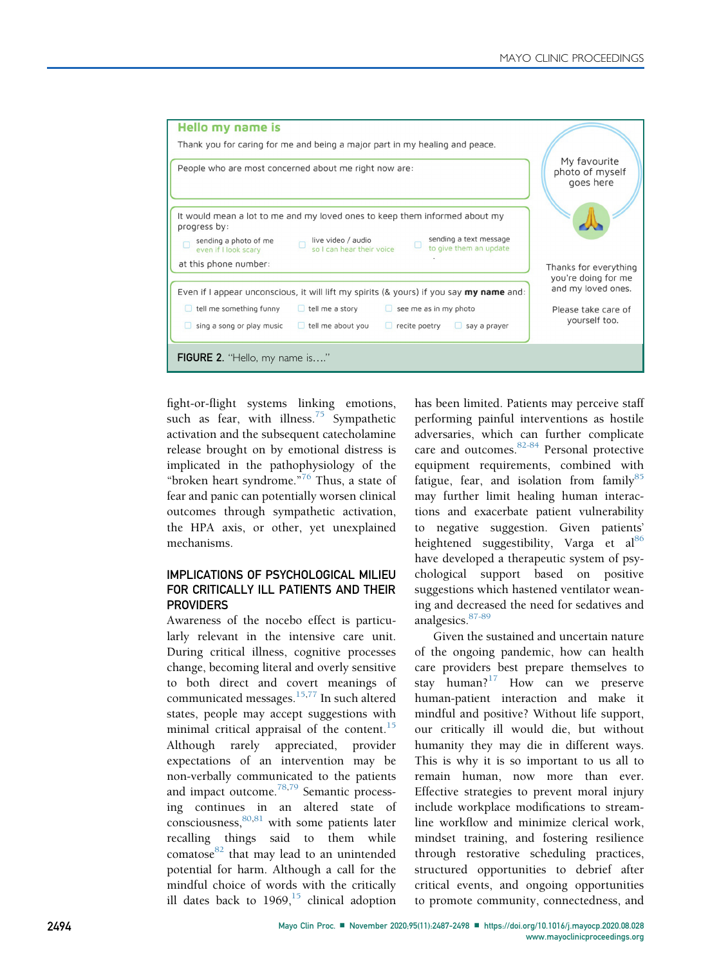<span id="page-7-0"></span>

fight-or-flight systems linking emotions, such as fear, with illness.<sup>[75](#page-10-21)</sup> Sympathetic activation and the subsequent catecholamine release brought on by emotional distress is implicated in the pathophysiology of the "broken heart syndrome." [76](#page-10-22) Thus, a state of fear and panic can potentially worsen clinical outcomes through sympathetic activation, the HPA axis, or other, yet unexplained mechanisms.

## IMPLICATIONS OF PSYCHOLOGICAL MILIEU FOR CRITICALLY ILL PATIENTS AND THEIR **PROVIDERS**

Awareness of the nocebo effect is particularly relevant in the intensive care unit. During critical illness, cognitive processes change, becoming literal and overly sensitive to both direct and covert meanings of communicated messages.<sup>[15,](#page-8-14)[77](#page-10-23)</sup> In such altered states, people may accept suggestions with minimal critical appraisal of the content.<sup>[15](#page-8-14)</sup> Although rarely appreciated, provider expectations of an intervention may be non-verbally communicated to the patients and impact outcome.[78,](#page-10-24)[79](#page-10-25) Semantic processing continues in an altered state of consciousness,  $80,81$  $80,81$  with some patients later recalling things said to them while comatose $82$  that may lead to an unintended potential for harm. Although a call for the mindful choice of words with the critically ill dates back to  $1969$ ,<sup>[15](#page-8-14)</sup> clinical adoption has been limited. Patients may perceive staff performing painful interventions as hostile adversaries, which can further complicate care and outcomes.<sup>[82-84](#page-10-28)</sup> Personal protective equipment requirements, combined with fatigue, fear, and isolation from family $85$ may further limit healing human interactions and exacerbate patient vulnerability to negative suggestion. Given patients' heightened suggestibility, Varga et al<sup>[86](#page-10-30)</sup> have developed a therapeutic system of psychological support based on positive suggestions which hastened ventilator weaning and decreased the need for sedatives and analgesics. [87-89](#page-10-31)

Given the sustained and uncertain nature of the ongoing pandemic, how can health care providers best prepare themselves to stay human? $17$  How can we preserve human-patient interaction and make it mindful and positive? Without life support, our critically ill would die, but without humanity they may die in different ways. This is why it is so important to us all to remain human, now more than ever. Effective strategies to prevent moral injury include workplace modifications to streamline workflow and minimize clerical work, mindset training, and fostering resilience through restorative scheduling practices, structured opportunities to debrief after critical events, and ongoing opportunities to promote community, connectedness, and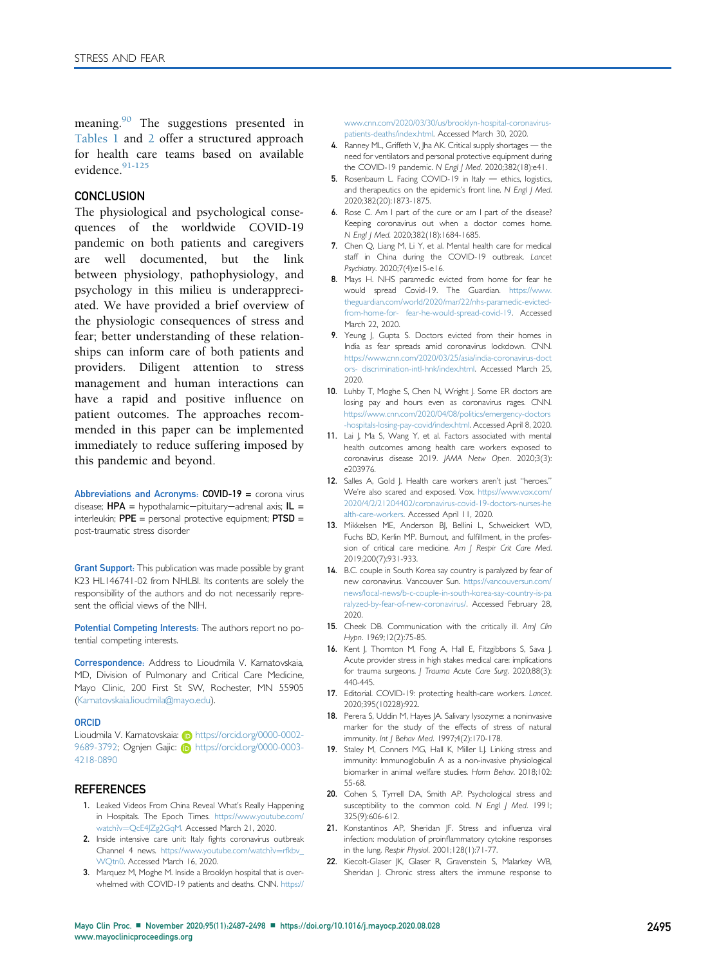meaning.<sup>[90](#page-10-32)</sup> The suggestions presented in [Tables 1](#page-3-0) and [2](#page-5-0) offer a structured approach for health care teams based on available evidence.<sup>[91-125](#page-10-2)</sup>

## **CONCLUSION**

The physiological and psychological consequences of the worldwide COVID-19 pandemic on both patients and caregivers are well documented, but the link between physiology, pathophysiology, and psychology in this milieu is underappreciated. We have provided a brief overview of the physiologic consequences of stress and fear; better understanding of these relationships can inform care of both patients and providers. Diligent attention to stress management and human interactions can have a rapid and positive influence on patient outcomes. The approaches recommended in this paper can be implemented immediately to reduce suffering imposed by this pandemic and beyond.

Abbreviations and Acronyms: COVID-19 = corona virus disease;  $HPA =$  hypothalamic-pituitary-adrenal axis;  $IL =$ interleukin;  $PPE =$  personal protective equipment;  $PTSD =$ post-traumatic stress disorder

**Grant Support:** This publication was made possible by grant K23 HL146741-02 from NHLBI. Its contents are solely the responsibility of the authors and do not necessarily represent the official views of the NIH.

Potential Competing Interests: The authors report no potential competing interests.

Correspondence: Address to Lioudmila V. Karnatovskaia, MD, Division of Pulmonary and Critical Care Medicine, Mayo Clinic, 200 First St SW, Rochester, MN 55905 [\(Karnatovskaia.lioudmila@mayo.edu\)](mailto:Karnatovskaia.lioudmila@mayo.edu).

#### **ORCID**

Lioudmila V. Karnatovskaia: i [https://orcid.org/0000-0002-](https://orcid.org/0000-0002-9689-3792) [9689-3792; Ognjen Gajic:](https://orcid.org/0000-0002-9689-3792) **D** [https://orcid.org/0000-0003-](https://orcid.org/0000-0003-4218-0890) [4218-0890](https://orcid.org/0000-0003-4218-0890)

### **REFERENCES**

- <span id="page-8-0"></span>1. Leaked Videos From China Reveal What's Really Happening in Hospitals. The Epoch Times. [https://www.youtube.com/](https://www.youtube.com/watch?v=QcE4JZg2GqM) [watch?v](https://www.youtube.com/watch?v=QcE4JZg2GqM)=QcE4|Zg2GqM. Accessed March 21, 2020.
- <span id="page-8-1"></span>2. Inside intensive care unit: Italy fights coronavirus outbreak Channel 4 news. [https://www.youtube.com/watch?v](https://www.youtube.com/watch?v=rfkbv_WQtn0)=[rfkbv\\_](https://www.youtube.com/watch?v=rfkbv_WQtn0) [WQtn0](https://www.youtube.com/watch?v=rfkbv_WQtn0). Accessed March 16, 2020.
- <span id="page-8-2"></span>3. Marquez M, Moghe M. Inside a Brooklyn hospital that is overwhelmed with COVID-19 patients and deaths. CNN. [https://](https://www.cnn.com/2020/03/30/us/brooklyn-hospital-coronavirus-%20patients-deaths/index.html)

[www.cnn.com/2020/03/30/us/brooklyn-hospital-coronavirus](https://www.cnn.com/2020/03/30/us/brooklyn-hospital-coronavirus-%20patients-deaths/index.html)[patients-deaths/index.html](https://www.cnn.com/2020/03/30/us/brooklyn-hospital-coronavirus-%20patients-deaths/index.html). Accessed March 30, 2020.

- <span id="page-8-3"></span>4. Ranney ML, Griffeth V, Jha AK. Critical supply shortages  $-$  the need for ventilators and personal protective equipment during the COVID-19 pandemic. N Engl J Med. 2020;382(18):e41.
- <span id="page-8-4"></span>5. Rosenbaum L. Facing COVID-19 in Italy - ethics, logistics, and therapeutics on the epidemic's front line. N Engl J Med. 2020;382(20):1873-1875.
- <span id="page-8-5"></span>6. Rose C. Am I part of the cure or am I part of the disease? Keeping coronavirus out when a doctor comes home. N Engl J Med. 2020;382(18):1684-1685.
- <span id="page-8-6"></span>7. Chen Q, Liang M, Li Y, et al. Mental health care for medical staff in China during the COVID-19 outbreak. Lancet Psychiatry. 2020;7(4):e15-e16.
- <span id="page-8-7"></span>8. Mays H. NHS paramedic evicted from home for fear he would spread Covid-19. The Guardian. [https://www.](https://www.theguardian.com/world/2020/mar/22/nhs-paramedic-evicted-from-home-for-%20fear-he-would-spread-covid-19) [theguardian.com/world/2020/mar/22/nhs-paramedic-evicted](https://www.theguardian.com/world/2020/mar/22/nhs-paramedic-evicted-from-home-for-%20fear-he-would-spread-covid-19)[from-home-for- fear-he-would-spread-covid-19](https://www.theguardian.com/world/2020/mar/22/nhs-paramedic-evicted-from-home-for-%20fear-he-would-spread-covid-19). Accessed March 22, 2020.
- <span id="page-8-8"></span>9. Yeung J, Gupta S. Doctors evicted from their homes in India as fear spreads amid coronavirus lockdown. CNN. [https://www.cnn.com/2020/03/25/asia/india-coronavirus-doct](https://www.cnn.com/2020/03/25/asia/india-coronavirus-doctors-%20discrimination-intl-hnk/index.html) [ors- discrimination-intl-hnk/index.html.](https://www.cnn.com/2020/03/25/asia/india-coronavirus-doctors-%20discrimination-intl-hnk/index.html) Accessed March 25, 2020.
- <span id="page-8-9"></span>10. Luhby T, Moghe S, Chen N, Wright J. Some ER doctors are losing pay and hours even as coronavirus rages. CNN. [https://www.cnn.com/2020/04/08/politics/emergency-doctors](https://www.cnn.com/2020/04/08/politics/emergency-doctors-hospitals-losing-pay-covid/index.html) [-hospitals-losing-pay-covid/index.html](https://www.cnn.com/2020/04/08/politics/emergency-doctors-hospitals-losing-pay-covid/index.html). Accessed April 8, 2020.
- <span id="page-8-10"></span>11. Lai J, Ma S, Wang Y, et al. Factors associated with mental health outcomes among health care workers exposed to coronavirus disease 2019. JAMA Netw Open. 2020;3(3): e203976.
- <span id="page-8-11"></span>12. Salles A, Gold J. Health care workers aren't just "heroes." We're also scared and exposed. Vox. [https://www.vox.com/](https://www.vox.com/2020/4/2/21204402/coronavirus-covid-19-doctors-nurses-health-care-workers) [2020/4/2/21204402/coronavirus-covid-19-doctors-nurses-he](https://www.vox.com/2020/4/2/21204402/coronavirus-covid-19-doctors-nurses-health-care-workers) [alth-care-workers](https://www.vox.com/2020/4/2/21204402/coronavirus-covid-19-doctors-nurses-health-care-workers). Accessed April 11, 2020.
- <span id="page-8-12"></span>13. Mikkelsen ME, Anderson BJ, Bellini L, Schweickert WD, Fuchs BD, Kerlin MP. Burnout, and fulfillment, in the profession of critical care medicine. Am J Respir Crit Care Med. 2019;200(7):931-933.
- <span id="page-8-13"></span>14. B.C. couple in South Korea say country is paralyzed by fear of new coronavirus. Vancouver Sun. [https://vancouversun.com/](https://vancouversun.com/news/local-news/b-c-couple-in-south-korea-say-country-is-paralyzed-by-fear-of-new-coronavirus/) [news/local-news/b-c-couple-in-south-korea-say-country-is-pa](https://vancouversun.com/news/local-news/b-c-couple-in-south-korea-say-country-is-paralyzed-by-fear-of-new-coronavirus/) [ralyzed-by-fear-of-new-coronavirus/.](https://vancouversun.com/news/local-news/b-c-couple-in-south-korea-say-country-is-paralyzed-by-fear-of-new-coronavirus/) Accessed February 28, 2020.
- <span id="page-8-14"></span>15. Cheek DB. Communication with the critically ill. AmJ Clin Hypn. 1969;12(2):75-85.
- <span id="page-8-15"></span>16. Kent J, Thornton M, Fong A, Hall E, Fitzgibbons S, Sava J. Acute provider stress in high stakes medical care: implications for trauma surgeons. J Trauma Acute Care Surg. 2020;88(3): 440-445.
- <span id="page-8-16"></span>17. Editorial. COVID-19: protecting health-care workers. Lancet. 2020;395(10228):922.
- <span id="page-8-17"></span>18. Perera S, Uddin M, Hayes JA. Salivary lysozyme: a noninvasive marker for the study of the effects of stress of natural immunity. Int J Behav Med. 1997;4(2):170-178.
- <span id="page-8-18"></span>19. Staley M, Conners MG, Hall K, Miller LJ. Linking stress and immunity: Immunoglobulin A as a non-invasive physiological biomarker in animal welfare studies. Horm Behav. 2018;102: 55-68.
- <span id="page-8-19"></span>20. Cohen S, Tyrrell DA, Smith AP. Psychological stress and susceptibility to the common cold. N Engl J Med. 1991; 325(9):606-612.
- <span id="page-8-20"></span>21. Konstantinos AP, Sheridan JF. Stress and influenza viral infection: modulation of proinflammatory cytokine responses in the lung. Respir Physiol. 2001;128(1):71-77.
- <span id="page-8-21"></span>22. Kiecolt-Glaser JK, Glaser R, Gravenstein S, Malarkey WB, Sheridan J. Chronic stress alters the immune response to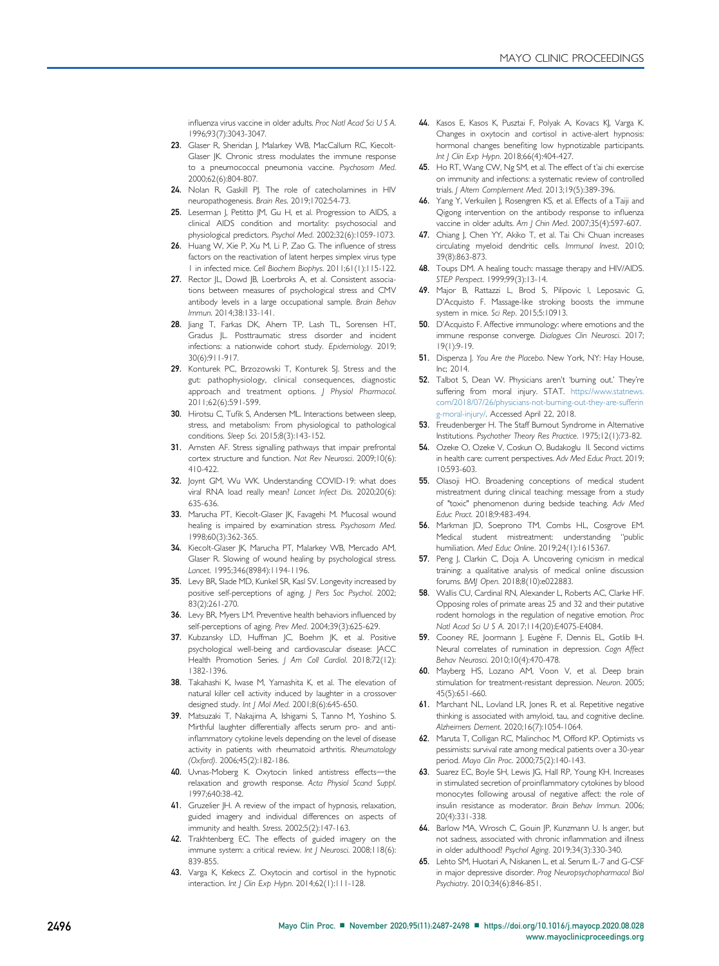influenza virus vaccine in older adults. Proc Natl Acad Sci U S A. 1996;93(7):3043-3047.

- <span id="page-9-0"></span>23. Glaser R, Sheridan J, Malarkey WB, MacCallum RC, Kiecolt-Glaser JK. Chronic stress modulates the immune response to a pneumococcal pneumonia vaccine. Psychosom Med. 2000;62(6):804-807.
- <span id="page-9-1"></span>24. Nolan R, Gaskill PJ. The role of catecholamines in HIV neuropathogenesis. Brain Res. 2019;1702:54-73.
- <span id="page-9-2"></span>25. Leserman J, Petitto JM, Gu H, et al. Progression to AIDS, a clinical AIDS condition and mortality: psychosocial and physiological predictors. Psychol Med. 2002;32(6):1059-1073.
- <span id="page-9-3"></span>26. Huang W, Xie P, Xu M, Li P, Zao G. The influence of stress factors on the reactivation of latent herpes simplex virus type 1 in infected mice. Cell Biochem Biophys. 2011;61(1):115-122.
- <span id="page-9-4"></span>27. Rector JL, Dowd JB, Loerbroks A, et al. Consistent associations between measures of psychological stress and CMV antibody levels in a large occupational sample. Brain Behav Immun. 2014;38:133-141.
- <span id="page-9-5"></span>28. Jiang T, Farkas DK, Ahern TP, Lash TL, Sorensen HT, Gradus JL. Posttraumatic stress disorder and incident infections: a nationwide cohort study. Epidemiology. 2019; 30(6):911-917.
- <span id="page-9-6"></span>29. Konturek PC, Brzozowski T, Konturek SJ. Stress and the gut: pathophysiology, clinical consequences, diagnostic approach and treatment options. J Physiol Pharmacol. 2011;62(6):591-599.
- <span id="page-9-7"></span>30. Hirotsu C, Tufik S, Andersen ML. Interactions between sleep, stress, and metabolism: From physiological to pathological conditions. Sleep Sci. 2015;8(3):143-152.
- <span id="page-9-8"></span>31. Arnsten AF. Stress signalling pathways that impair prefrontal cortex structure and function. Nat Rev Neurosci. 2009;10(6): 410-422.
- <span id="page-9-9"></span>32. Joynt GM, Wu WK. Understanding COVID-19: what does viral RNA load really mean? Lancet Infect Dis. 2020;20(6): 635-636.
- <span id="page-9-10"></span>33. Marucha PT, Kiecolt-Glaser JK, Favagehi M. Mucosal wound healing is impaired by examination stress. Psychosom Med. 1998;60(3):362-365.
- <span id="page-9-11"></span>34. Kiecolt-Glaser JK, Marucha PT, Malarkey WB, Mercado AM, Glaser R. Slowing of wound healing by psychological stress. Lancet. 1995;346(8984):1194-1196.
- <span id="page-9-12"></span>35. Levy BR, Slade MD, Kunkel SR, Kasl SV. Longevity increased by positive self-perceptions of aging. J Pers Soc Psychol. 2002; 83(2):261-270.
- <span id="page-9-13"></span>36. Levy BR, Myers LM. Preventive health behaviors influenced by self-perceptions of aging. Prev Med. 2004;39(3):625-629.
- <span id="page-9-14"></span>37. Kubzansky LD, Huffman JC, Boehm JK, et al. Positive psychological well-being and cardiovascular disease: JACC Health Promotion Series. J Am Coll Cardiol. 2018;72(12): 1382-1396.
- <span id="page-9-15"></span>38. Takahashi K, Iwase M, Yamashita K, et al. The elevation of natural killer cell activity induced by laughter in a crossover designed study. Int J Mol Med. 2001;8(6):645-650.
- <span id="page-9-16"></span>39. Matsuzaki T, Nakajima A, Ishigami S, Tanno M, Yoshino S. Mirthful laughter differentially affects serum pro- and antiinflammatory cytokine levels depending on the level of disease activity in patients with rheumatoid arthritis. Rheumatology (Oxford). 2006;45(2):182-186.
- <span id="page-9-17"></span>40. Uvnas-Moberg K. Oxytocin linked antistress effects-the relaxation and growth response. Acta Physiol Scand Suppl. 1997;640:38-42.
- <span id="page-9-18"></span>41. Gruzelier JH. A review of the impact of hypnosis, relaxation, guided imagery and individual differences on aspects of immunity and health. Stress. 2002;5(2):147-163.
- 42. Trakhtenberg EC. The effects of guided imagery on the immune system: a critical review. Int J Neurosci. 2008;118(6): 839-855.
- 43. Varga K, Kekecs Z. Oxytocin and cortisol in the hypnotic interaction. Int J Clin Exp Hypn. 2014;62(1):111-128.
- 44. Kasos E, Kasos K, Pusztai F, Polyak A, Kovacs KJ, Varga K. Changes in oxytocin and cortisol in active-alert hypnosis: hormonal changes benefiting low hypnotizable participants. Int J Clin Exp Hypn. 2018;66(4):404-427.
- <span id="page-9-19"></span>45. Ho RT, Wang CW, Ng SM, et al. The effect of t'ai chi exercise on immunity and infections: a systematic review of controlled trials. J Altern Complement Med. 2013;19(5):389-396.
- 46. Yang Y, Verkuilen J, Rosengren KS, et al. Effects of a Taiji and Qigong intervention on the antibody response to influenza vaccine in older adults. Am J Chin Med. 2007;35(4):597-607.
- 47. Chiang J, Chen YY, Akiko T, et al. Tai Chi Chuan increases circulating myeloid dendritic cells. Immunol Invest. 2010; 39(8):863-873.
- 48. Toups DM. A healing touch: massage therapy and HIV/AIDS. STEP Perspect. 1999;99(3):13-14.
- 49. Major B, Rattazzi L, Brod S, Pilipovic I, Leposavic G, D'Acquisto F. Massage-like stroking boosts the immune system in mice. Sci Rep. 2015;5:10913.
- <span id="page-9-20"></span>50. D'Acquisto F. Affective immunology: where emotions and the immune response converge. Dialogues Clin Neurosci. 2017; 19(1):9-19.
- <span id="page-9-21"></span>51. Dispenza J. You Are the Placebo. New York, NY: Hay House, Inc; 2014.
- <span id="page-9-22"></span>52. Talbot S, Dean W. Physicians aren't 'burning out.' They're suffering from moral injury. STAT. [https://www.statnews.](https://www.statnews.com/2018/07/26/physicians-not-burning-out-they-are-suffering-moral-injury/) [com/2018/07/26/physicians-not-burning-out-they-are-sufferin](https://www.statnews.com/2018/07/26/physicians-not-burning-out-they-are-suffering-moral-injury/) [g-moral-injury/](https://www.statnews.com/2018/07/26/physicians-not-burning-out-they-are-suffering-moral-injury/). Accessed April 22, 2018.
- <span id="page-9-23"></span>53. Freudenberger H. The Staff Burnout Syndrome in Alternative Institutions. Psychother Theory Res Practice. 1975;12(1):73-82.
- <span id="page-9-24"></span>54. Ozeke O, Ozeke V, Coskun O, Budakoglu II. Second victims in health care: current perspectives. Adv Med Educ Pract. 2019; 10:593-603.
- <span id="page-9-25"></span>55. Olasoji HO. Broadening conceptions of medical student mistreatment during clinical teaching: message from a study of "toxic" phenomenon during bedside teaching. Adv Med Educ Pract. 2018;9:483-494.
- 56. Markman JD, Soeprono TM, Combs HL, Cosgrove EM. Medical student mistreatment: understanding "public humiliation. Med Educ Online. 2019;24(1):1615367.
- 57. Peng J, Clarkin C, Doja A. Uncovering cynicism in medical training: a qualitative analysis of medical online discussion forums. BMJ Open. 2018;8(10):e022883.
- <span id="page-9-26"></span>58. Wallis CU, Cardinal RN, Alexander L, Roberts AC, Clarke HF. Opposing roles of primate areas 25 and 32 and their putative rodent homologs in the regulation of negative emotion. Proc Natl Acad Sci U S A. 2017;114(20):E4075-E4084.
- <span id="page-9-27"></span>59. Cooney RE, Joormann J, Eugène F, Dennis EL, Gotlib IH. Neural correlates of rumination in depression. Cogn Affect Behav Neurosci. 2010;10(4):470-478.
- <span id="page-9-28"></span>60. Mayberg HS, Lozano AM, Voon V, et al. Deep brain stimulation for treatment-resistant depression. Neuron. 2005; 45(5):651-660.
- <span id="page-9-29"></span>61. Marchant NL, Lovland LR, Jones R, et al. Repetitive negative thinking is associated with amyloid, tau, and cognitive decline. Alzheimers Dement. 2020;16(7):1054-1064.
- <span id="page-9-30"></span>62. Maruta T, Colligan RC, Malinchoc M, Offord KP. Optimists vs pessimists: survival rate among medical patients over a 30-year period. Mayo Clin Proc. 2000;75(2):140-143.
- <span id="page-9-31"></span>63. Suarez EC, Boyle SH, Lewis JG, Hall RP, Young KH. Increases in stimulated secretion of proinflammatory cytokines by blood monocytes following arousal of negative affect: the role of insulin resistance as moderator. Brain Behav Immun. 2006; 20(4):331-338.
- <span id="page-9-32"></span>64. Barlow MA, Wrosch C, Gouin JP, Kunzmann U. Is anger, but not sadness, associated with chronic inflammation and illness in older adulthood? Psychol Aging. 2019;34(3):330-340.
- <span id="page-9-33"></span>65. Lehto SM, Huotari A, Niskanen L, et al. Serum IL-7 and G-CSF in major depressive disorder. Prog Neuropsychopharmacol Biol Psychiatry. 2010;34(6):846-851.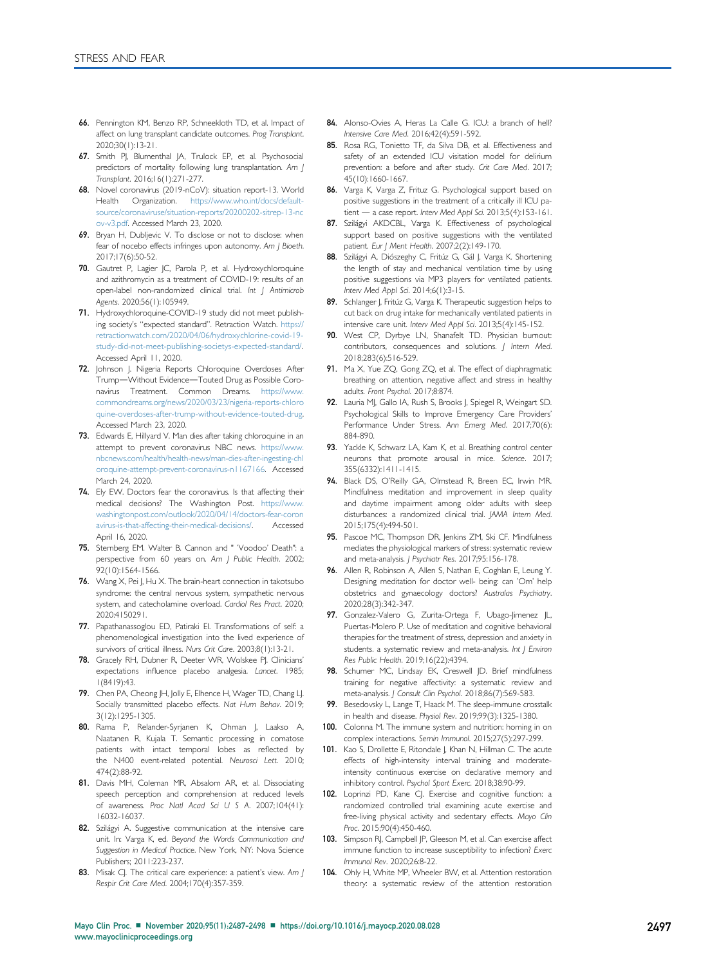- <span id="page-10-0"></span>66. Pennington KM, Benzo RP, Schneekloth TD, et al. Impact of affect on lung transplant candidate outcomes. Prog Transplant. 2020;30(1):13-21.
- <span id="page-10-1"></span>67. Smith PJ, Blumenthal JA, Trulock EP, et al. Psychosocial predictors of mortality following lung transplantation. Am J Transplant. 2016;16(1):271-277.
- <span id="page-10-14"></span>68. Novel coronavirus (2019-nCoV): situation report-13. World Health Organization. [https://www.who.int/docs/default](https://www.who.int/docs/default-source/coronaviruse/situation-reports/20200202-sitrep-13-ncov-v3.pdf)[source/coronaviruse/situation-reports/20200202-sitrep-13-nc](https://www.who.int/docs/default-source/coronaviruse/situation-reports/20200202-sitrep-13-ncov-v3.pdf) [ov-v3.pdf](https://www.who.int/docs/default-source/coronaviruse/situation-reports/20200202-sitrep-13-ncov-v3.pdf). Accessed March 23, 2020.
- <span id="page-10-15"></span>69. Bryan H, Dubljevic V. To disclose or not to disclose: when fear of nocebo effects infringes upon autonomy. Am J Bioeth. 2017;17(6):50-52.
- <span id="page-10-16"></span>70. Gautret P, Lagier JC, Parola P, et al. Hydroxychloroquine and azithromycin as a treatment of COVID-19: results of an open-label non-randomized clinical trial. Int J Antimicrob Agents. 2020;56(1):105949.
- <span id="page-10-17"></span>71. Hydroxychloroquine-COVID-19 study did not meet publishing society's "expected standard". Retraction Watch. [https://](https://retractionwatch.com/2020/04/06/hydroxychlorine-covid-19-study-did-not-meet-publishing-societys-expected-standard/) [retractionwatch.com/2020/04/06/hydroxychlorine-covid-19](https://retractionwatch.com/2020/04/06/hydroxychlorine-covid-19-study-did-not-meet-publishing-societys-expected-standard/) [study-did-not-meet-publishing-societys-expected-standard/.](https://retractionwatch.com/2020/04/06/hydroxychlorine-covid-19-study-did-not-meet-publishing-societys-expected-standard/) Accessed April 11, 2020.
- <span id="page-10-18"></span>72. Johnson J. Nigeria Reports Chloroquine Overdoses After Trump-Without Evidence-Touted Drug as Possible Coronavirus Treatment. Common Dreams. [https://www.](https://www.commondreams.org/news/2020/03/23/nigeria-reports-chloroquine-overdoses-after-trump-without-evidence-touted-drug) [commondreams.org/news/2020/03/23/nigeria-reports-chloro](https://www.commondreams.org/news/2020/03/23/nigeria-reports-chloroquine-overdoses-after-trump-without-evidence-touted-drug) [quine-overdoses-after-trump-without-evidence-touted-drug](https://www.commondreams.org/news/2020/03/23/nigeria-reports-chloroquine-overdoses-after-trump-without-evidence-touted-drug). Accessed March 23, 2020.
- <span id="page-10-19"></span>73. Edwards E, Hillyard V. Man dies after taking chloroquine in an attempt to prevent coronavirus NBC news. [https://www.](https://www.nbcnews.com/health/health-news/man-dies-after-ingesting-chloroquine-attempt-prevent-coronavirus-n1167166) [nbcnews.com/health/health-news/man-dies-after-ingesting-chl](https://www.nbcnews.com/health/health-news/man-dies-after-ingesting-chloroquine-attempt-prevent-coronavirus-n1167166) [oroquine-attempt-prevent-coronavirus-n1167166](https://www.nbcnews.com/health/health-news/man-dies-after-ingesting-chloroquine-attempt-prevent-coronavirus-n1167166). Accessed March 24, 2020.
- <span id="page-10-20"></span>74. Ely EW. Doctors fear the coronavirus. Is that affecting their medical decisions? The Washington Post. [https://www.](https://www.washingtonpost.com/outlook/2020/04/14/doctors-fear-coronavirus-is-that-affecting-their-medical-decisions/) [washingtonpost.com/outlook/2020/04/14/doctors-fear-coron](https://www.washingtonpost.com/outlook/2020/04/14/doctors-fear-coronavirus-is-that-affecting-their-medical-decisions/) [avirus-is-that-affecting-their-medical-decisions/.](https://www.washingtonpost.com/outlook/2020/04/14/doctors-fear-coronavirus-is-that-affecting-their-medical-decisions/) Accessed April 16, 2020.
- <span id="page-10-21"></span>75. Sternberg EM. Walter B. Cannon and " 'Voodoo' Death": a perspective from 60 years on. Am J Public Health. 2002; 92(10):1564-1566.
- <span id="page-10-22"></span>76. Wang X, Pei J, Hu X. The brain-heart connection in takotsubo syndrome: the central nervous system, sympathetic nervous system, and catecholamine overload. Cardiol Res Pract. 2020; 2020:4150291.
- <span id="page-10-23"></span>77. Papathanassoglou ED, Patiraki El. Transformations of self: a phenomenological investigation into the lived experience of survivors of critical illness. Nurs Crit Care. 2003;8(1):13-21.
- <span id="page-10-24"></span>78. Gracely RH, Dubner R, Deeter WR, Wolskee PJ. Clinicians' expectations influence placebo analgesia. Lancet. 1985; 1(8419):43.
- <span id="page-10-25"></span>79. Chen PA, Cheong JH, Jolly E, Elhence H, Wager TD, Chang LJ. Socially transmitted placebo effects. Nat Hum Behav. 2019; 3(12):1295-1305.
- <span id="page-10-26"></span>80. Rama P, Relander-Syrjanen K, Ohman J, Laakso A, Naatanen R, Kujala T. Semantic processing in comatose patients with intact temporal lobes as reflected by the N400 event-related potential. Neurosci Lett. 2010; 474(2):88-92.
- <span id="page-10-27"></span>81. Davis MH, Coleman MR, Absalom AR, et al. Dissociating speech perception and comprehension at reduced levels of awareness. Proc Natl Acad Sci U S A. 2007;104(41): 16032-16037.
- <span id="page-10-28"></span>82. Szilágyi A. Suggestive communication at the intensive care unit. In: Varga K, ed. Beyond the Words Communication and Suggestion in Medical Practice. New York, NY: Nova Science Publishers; 2011:223-237.
- 83. Misak CJ. The critical care experience: a patient's view. Am J Respir Crit Care Med. 2004;170(4):357-359.
- 84. Alonso-Ovies A, Heras La Calle G. ICU: a branch of hell? Intensive Care Med. 2016;42(4):591-592.
- <span id="page-10-29"></span>85. Rosa RG, Tonietto TF, da Silva DB, et al. Effectiveness and safety of an extended ICU visitation model for delirium prevention: a before and after study. Crit Care Med. 2017; 45(10):1660-1667.
- <span id="page-10-30"></span>86. Varga K, Varga Z, Frituz G. Psychological support based on positive suggestions in the treatment of a critically ill ICU patient  $-$  a case report. Interv Med Appl Sci. 2013;5(4):153-161.
- <span id="page-10-31"></span>87. Szilágyi AKDCBL, Varga K. Effectiveness of psychological support based on positive suggestions with the ventilated patient. Eur J Ment Health. 2007;2(2):149-170.
- 88. Szilágyi A, Diószeghy C, Fritúz G, Gál J, Varga K. Shortening the length of stay and mechanical ventilation time by using positive suggestions via MP3 players for ventilated patients. Interv Med Appl Sci. 2014;6(1):3-15.
- 89. Schlanger J, Fritúz G, Varga K. Therapeutic suggestion helps to cut back on drug intake for mechanically ventilated patients in intensive care unit. Interv Med Appl Sci. 2013;5(4):145-152.
- <span id="page-10-32"></span>90. West CP, Dyrbye LN, Shanafelt TD. Physician burnout: contributors, consequences and solutions. J Intern Med. 2018;283(6):516-529.
- <span id="page-10-2"></span>91. Ma X, Yue ZQ, Gong ZQ, et al. The effect of diaphragmatic breathing on attention, negative affect and stress in healthy adults. Front Psychol. 2017;8:874.
- <span id="page-10-3"></span>92. Lauria MJ, Gallo IA, Rush S, Brooks J, Spiegel R, Weingart SD. Psychological Skills to Improve Emergency Care Providers' Performance Under Stress. Ann Emerg Med. 2017;70(6): 884-890.
- <span id="page-10-4"></span>93. Yackle K, Schwarz LA, Kam K, et al. Breathing control center neurons that promote arousal in mice. Science. 2017; 355(6332):1411-1415.
- <span id="page-10-5"></span>94. Black DS, O'Reilly GA, Olmstead R, Breen EC, Irwin MR. Mindfulness meditation and improvement in sleep quality and daytime impairment among older adults with sleep disturbances: a randomized clinical trial. JAMA Intern Med. 2015;175(4):494-501.
- <span id="page-10-6"></span>95. Pascoe MC, Thompson DR, Jenkins ZM, Ski CF. Mindfulness mediates the physiological markers of stress: systematic review and meta-analysis. *| Psychiatr Res.* 2017;95:156-178.
- <span id="page-10-7"></span>96. Allen R, Robinson A, Allen S, Nathan E, Coghlan E, Leung Y. Designing meditation for doctor well- being: can 'Om' help obstetrics and gynaecology doctors? Australas Psychiatry. 2020;28(3):342-347.
- <span id="page-10-8"></span>97. Gonzalez-Valero G, Zurita-Ortega F, Ubago-Jimenez JL, Puertas-Molero P. Use of meditation and cognitive behavioral therapies for the treatment of stress, depression and anxiety in students. a systematic review and meta-analysis. Int J Environ Res Public Health. 2019;16(22):4394.
- <span id="page-10-9"></span>98. Schumer MC, Lindsay EK, Creswell JD. Brief mindfulness training for negative affectivity: a systematic review and meta-analysis. J Consult Clin Psychol. 2018;86(7):569-583.
- <span id="page-10-10"></span>99. Besedovsky L, Lange T, Haack M. The sleep-immune crosstalk in health and disease. Physiol Rev. 2019;99(3):1325-1380.
- <span id="page-10-11"></span>100. Colonna M. The immune system and nutrition: homing in on complex interactions. Semin Immunol. 2015;27(5):297-299.
- <span id="page-10-12"></span>101. Kao S, Drollette E, Ritondale J, Khan N, Hillman C. The acute effects of high-intensity interval training and moderateintensity continuous exercise on declarative memory and inhibitory control. Psychol Sport Exerc. 2018;38:90-99.
- 102. Loprinzi PD, Kane CJ. Exercise and cognitive function: a randomized controlled trial examining acute exercise and free-living physical activity and sedentary effects. Mayo Clin Proc. 2015;90(4):450-460.
- 103. Simpson RJ, Campbell JP, Gleeson M, et al. Can exercise affect immune function to increase susceptibility to infection? Exerc Immunol Rev. 2020;26:8-22.
- <span id="page-10-13"></span>104. Ohly H, White MP, Wheeler BW, et al. Attention restoration theory: a systematic review of the attention restoration